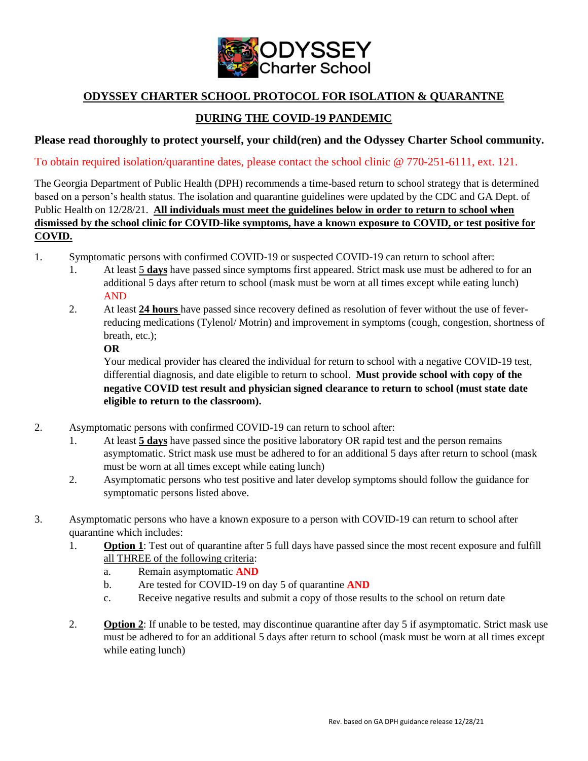

## **ODYSSEY CHARTER SCHOOL PROTOCOL FOR ISOLATION & QUARANTNE**

## **DURING THE COVID-19 PANDEMIC**

## **Please read thoroughly to protect yourself, your child(ren) and the Odyssey Charter School community.**

To obtain required isolation/quarantine dates, please contact the school clinic @ 770-251-6111, ext. 121.

The Georgia Department of Public Health (DPH) recommends a time-based return to school strategy that is determined based on a person's health status. The isolation and quarantine guidelines were updated by the CDC and GA Dept. of Public Health on 12/28/21. **All individuals must meet the guidelines below in order to return to school when dismissed by the school clinic for COVID-like symptoms, have a known exposure to COVID, or test positive for COVID.**

- 1. Symptomatic persons with confirmed COVID-19 or suspected COVID-19 can return to school after:
	- 1. At least 5 **days** have passed since symptoms first appeared. Strict mask use must be adhered to for an additional 5 days after return to school (mask must be worn at all times except while eating lunch) AND
	- 2. At least **24 hours** have passed since recovery defined as resolution of fever without the use of feverreducing medications (Tylenol/ Motrin) and improvement in symptoms (cough, congestion, shortness of breath, etc.);

**OR**

Your medical provider has cleared the individual for return to school with a negative COVID-19 test, differential diagnosis, and date eligible to return to school. **Must provide school with copy of the negative COVID test result and physician signed clearance to return to school (must state date eligible to return to the classroom).** 

- 2. Asymptomatic persons with confirmed COVID-19 can return to school after:
	- 1. At least **5 days** have passed since the positive laboratory OR rapid test and the person remains asymptomatic. Strict mask use must be adhered to for an additional 5 days after return to school (mask must be worn at all times except while eating lunch)
	- 2. Asymptomatic persons who test positive and later develop symptoms should follow the guidance for symptomatic persons listed above.
- 3. Asymptomatic persons who have a known exposure to a person with COVID-19 can return to school after quarantine which includes:
	- 1. **Option 1**: Test out of quarantine after 5 full days have passed since the most recent exposure and fulfill all THREE of the following criteria:
		- a. Remain asymptomatic **AND**
		- b. Are tested for COVID-19 on day 5 of quarantine **AND**
		- c. Receive negative results and submit a copy of those results to the school on return date
	- 2. **Option 2**: If unable to be tested, may discontinue quarantine after day 5 if asymptomatic. Strict mask use must be adhered to for an additional 5 days after return to school (mask must be worn at all times except while eating lunch)